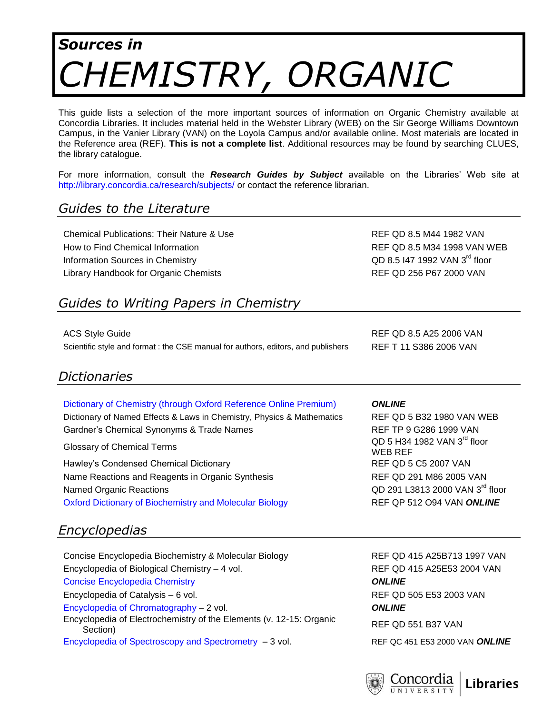# *Sources in CHEMISTRY, ORGANIC*

This guide lists a selection of the more important sources of information on Organic Chemistry available at Concordia Libraries. It includes material held in the Webster Library (WEB) on the Sir George Williams Downtown Campus, in the Vanier Library (VAN) on the Loyola Campus and/or available online. Most materials are located in the Reference area (REF). **This is not a complete list**. Additional resources may be found by searching CLUES, the library catalogue.

For more information, consult the *Research Guides by Subject* available on the Libraries' Web site at <http://library.concordia.ca/research/subjects/> or contact the reference librarian.

### *Guides to the Literature*

Chemical Publications: Their Nature & Use Refractions: Their Nature & Use REF QD 8.5 M44 1982 VAN How to Find Chemical Information **REF QD 8.5 M34 1998 VAN WEB** Information Sources in Chemistry **COD 8.5 I47 1992 VAN 3<sup>rd</sup>** floor Library Handbook for Organic Chemists **REF QD 256 P67 2000 VAN** 

# *Guides to Writing Papers in Chemistry*

ACS Style Guide REF QD 8.5 A25 2006 VAN Scientific style and format : the CSE manual for authors, editors, and publishers REF T 11 S386 2006 VAN

#### *Dictionaries*

#### [Dictionary of Chemistry \(through Oxford Reference Online Premium\)](http://0-www.oxfordreference.com.mercury.concordia.ca/views/BOOK_SEARCH.html?book=t81&authstatuscode=200) *ONLINE*

Dictionary of Named Effects & Laws in Chemistry, Physics & Mathematics REF QD 5 B32 1980 VAN WEB Gardner's Chemical Synonyms & Trade Names REF TP 9 G286 1999 VAN

Hawley's Condensed Chemical Dictionary **REF QD 5 C5 2007 VAN** Name Reactions and Reagents in Organic Synthesis **REF QD 291 M86 2005 VAN** Named Organic Reactions [Oxford Dictionary of Biochemistry and Molecular Biology](http://clues.concordia.ca/record=b2520956~S0) REF QP 512 O94 VAN *ONLINE*

## *Encyclopedias*

Concise Encyclopedia Biochemistry & Molecular Biology REF QD 415 A25B713 1997 VAN Encyclopedia of Biological Chemistry – 4 vol. REF QD 415 A25E53 2004 VAN [Concise Encyclopedia Chemistry](http://clues.concordia.ca/record=b3050325~S0) *ONLINE* Encyclopedia of Catalysis – 6 vol. REF QD 505 E53 2003 VAN [Encyclopedia of Chromatography](http://clues.concordia.ca/record=b2596479~S0) – 2 vol. *ONLINE* Encyclopedia of Electrochemistry of the Elements (v. 12-15: Organic Section) REF QD 551 B37 VAN [Encyclopedia of Spectroscopy and Spectrometry](http://clues.concordia.ca/record=b2793048~S0) – 3 vol. REF QC 451 E53 2000 VAN *ONLINE*

Glossary of Chemical Terms **COLOGY** Chemical Terms **QD 5 H34 1982 VAN 3<sup>rd</sup> floor** WEB REF QD 291 L3813 2000 VAN 3<sup>rd</sup> floor

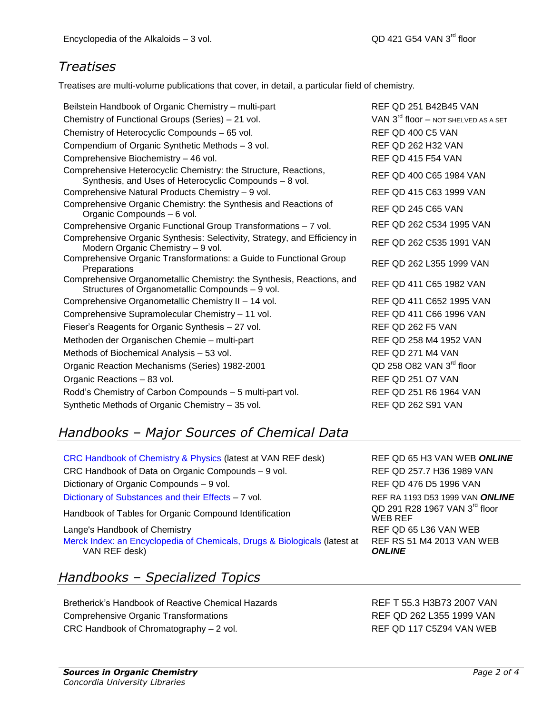### *Treatises*

Treatises are multi-volume publications that cover, in detail, a particular field of chemistry.

Beilstein Handbook of Organic Chemistry – multi-part Chemistry of Functional Groups (Series) – 21 vol. Chemistry of Heterocyclic Compounds – 65 vol. Compendium of Organic Synthetic Methods – 3 vol. Comprehensive Biochemistry - 46 vol. Comprehensive Heterocyclic Chemistry: the Structure, Reactions, Synthesis, and Uses of Heterocyclic Compounds – 8 vol. Comprehensive Natural Products Chemistry – 9 vol. Comprehensive Organic Chemistry: the Synthesis and Reactions of Organic Compounds – 6 vol. Comprehensive Organic Functional Group Transformations – 7 vol. Comprehensive Organic Synthesis: Selectivity, Strategy, and Efficiency in Modern Organic Chemistry - 9 vol. Comprehensive Organic Transformations: a Guide to Functional Group<br>Preparations Preparations Comprehensive Organometallic Chemistry: the Synthesis, Reactions, and Structures of Organometallic Compounds – 9 vol. Comprehensive Organometallic Chemistry II – 14 vol. Comprehensive Supramolecular Chemistry – 11 vol. Fieser's Reagents for Organic Synthesis – 27 vol. Methoden der Organischen Chemie – multi-part Methods of Biochemical Analysis – 53 vol. Organic Reaction Mechanisms (Series) 1982-2001 Organic Reactions – 83 vol. Rodd's Chemistry of Carbon Compounds – 5 multi-part vol. REF QD 251 R6 1964 VAN Synthetic Methods of Organic Chemistry – 35 vol. REF QD 262 S91 VAN

# *Handbooks – Major Sources of Chemical Data*

[CRC Handbook of Chemistry & Physics](http://clues.concordia.ca/record=b3037451~S0) (latest at VAN REF desk) REF QD 65 H3 VAN WEB *ONLINE* CRC Handbook of Data on Organic Compounds – 9 vol. REF QD 257.7 H36 1989 VAN Dictionary of Organic Compounds – 9 vol. REF QD 476 D5 1996 VAN [Dictionary of Substances and their Effects](http://clues.concordia.ca/record=e1000324~S0) – 7 vol. REF RA 1193 D53 1999 VAN ONLINE Handbook of Tables for Organic Compound Identification Lange's Handbook of Chemistry **REF QD 65 L36 VAN WEB** [Merck Index: an Encyclopedia of Chemicals, Drugs & Biologicals](http://clues.concordia.ca/record=e1001249~S0) (latest at VAN REF desk)

# *Handbooks – Specialized Topics*

Bretherick's Handbook of Reactive Chemical Hazards REF T 55.3 H3B73 2007 VAN Comprehensive Organic Transformations **REF QD 262 L355 1999 VAN** CRC Handbook of Chromatography – 2 vol. REF QD 117 C5Z94 VAN WEB

| REF QD 251 B42B45 VAN                            |
|--------------------------------------------------|
| VAN 3 <sup>rd</sup> floor - Not shelved as a set |
| REF OD 400 C5 VAN                                |
| <b>REF QD 262 H32 VAN</b>                        |
| REF QD 415 F54 VAN                               |
| REF QD 400 C65 1984 VAN                          |
| REF QD 415 C63 1999 VAN                          |
| REF QD 245 C65 VAN                               |
| REF QD 262 C534 1995 VAN                         |
| REF QD 262 C535 1991 VAN                         |
| REF QD 262 L355 1999 VAN                         |
| REF QD 411 C65 1982 VAN                          |
| REF QD 411 C652 1995 VAN                         |
| REF QD 411 C66 1996 VAN                          |
| REF QD 262 F5 VAN                                |
| REF QD 258 M4 1952 VAN                           |
| REF QD 271 M4 VAN                                |
| QD 258 O82 VAN 3 <sup>rd</sup> floor             |
| <b>REF OD 251 O7 VAN</b>                         |
| REE OD 251 RG 1064 VAN                           |

QD 291 R28 1967 VAN  $3^{\text{rd}}$  floor WEB REF REF RS 51 M4 2013 VAN WEB *ONLINE*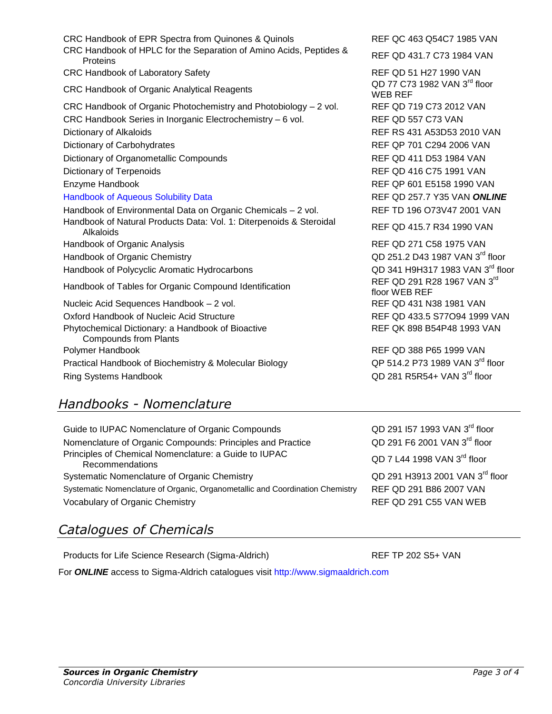| Products for Life Science Research (Sigma-Aldrich)                     |
|------------------------------------------------------------------------|
| For <b>ONLINE</b> access to Sigma-Aldrich catalogues visit http://www. |
|                                                                        |
|                                                                        |
|                                                                        |
|                                                                        |
| <b>Sources in Organic Chemistry</b><br>Concordia University Libraries  |
|                                                                        |
|                                                                        |
|                                                                        |

CRC Handbook of HPLC for the Separation of Amino Acids, Peptides & Proteins Contribution and the Separation of Armito Acids, Feptides & REF QD 431.7 C73 1984 VAN CRC Handbook of Laboratory Safety **REF QD 51 H27 1990 VAN** CRC Handbook of Organic Analytical Reagents WEB REF CRC Handbook of Organic Photochemistry and Photobiology – 2 vol. REF QD 719 C73 2012 VAN CRC Handbook Series in Inorganic Electrochemistry – 6 vol. REF QD 557 C73 VAN Dictionary of Alkaloids **REF RS 431 A53D53 2010 VAN** Dictionary of Carbohydrates **REF QP 701 C294 2006 VAN** Dictionary of Organometallic Compounds **REF QD 411 D53 1984 VAN** Dictionary of Terpenoids **REF QD 416 C75 1991 VAN** Enzyme Handbook **REF QP 601 E5158 1990 VAN** [Handbook of Aqueous Solubility Data](http://clues.concordia.ca/record=b2754107~S0) REF QD 257.7 Y35 VAN *ONLINE* Handbook of Environmental Data on Organic Chemicals - 2 vol. REF TD 196 O73V47 2001 VAN Handbook of Natural Products Data: Vol. 1: Diterpenoids & Steroidal abook of Natural Products Data. Vol. 1. Diterperioids & Steroidar Frank REF QD 415.7 R34 1990 VAN<br>Alkaloids Handbook of Organic Analysis **REF QD 271 C58 1975 VAN** Handbook of Organic Chemistry Handbook of Polycyclic Aromatic Hydrocarbons Handbook of Tables for Organic Compound Identification Nucleic Acid Sequences Handbook – 2 vol. REF QD 431 N38 1981 VAN Oxford Handbook of Nucleic Acid Structure **REF QD 433.5 S77O94 1999 VAN** Phytochemical Dictionary: a Handbook of Bioactive Compounds from Plants Polymer Handbook **REF QD 388 P65 1999 VAN** Practical Handbook of Biochemistry & Molecular Biology

*Handbooks - Nomenclature*

Ring Systems Handbook

Guide to IUPAC Nomenclature of Organic Compounds Nomenclature of Organic Compounds: Principles and Practice QD 291 F6 2001 VAN 3<sup>rd</sup> floor Principles of Chemical Nomenclature: a Guide to IUPAC iples of Chemical Nomenclature: a Guide to IUPAC QD 7 L44 1998 VAN 3<sup>rd</sup> floor<br>Recommendations Systematic Nomenclature of Organic Chemistry **QD** 291 H3913 2001 VAN 3<sup>rd</sup> floor Systematic Nomenclature of Organic, Organometallic and Coordination Chemistry REF QD 291 B86 2007 VAN Vocabulary of Organic Chemistry **REF QD 291 C55 VAN WEB** 

# *Catalogues of Chemicals*

 $w$ . sigmaaldrich .com

QD 77 C73 1982 VAN  $3^{\text{rd}}$  floor

QD 251.2 D43 1987 VAN 3rd floor QD 341 H9H317 1983 VAN 3rd floor REF QD 291 R28 1967 VAN 3rd floor WEB REF REF QK 898 B54P48 1993 VAN

QP 514.2 P73 1989 VAN 3rd floor QD 281 R5R54+ VAN 3rd floor

QD 291 I57 1993 VAN 3rd floor

 $REF$  TP 202 S5+ VAN